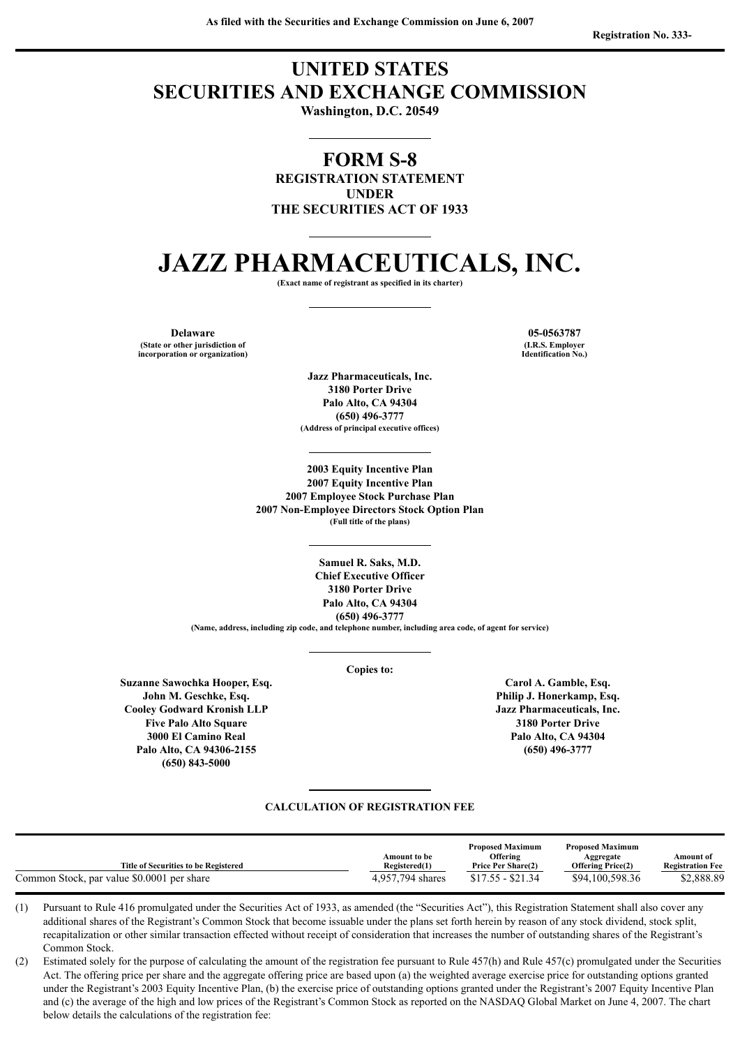## **UNITED STATES SECURITIES AND EXCHANGE COMMISSION**

**Washington, D.C. 20549**

## **FORM S-8 REGISTRATION STATEMENT UNDER THE SECURITIES ACT OF 1933**

# **JAZZ PHARMACEUTICALS, INC.**

**(Exact name of registrant as specified in its charter)**

**Delaware 05-0563787 (State or other jurisdiction of incorporation or organization)**

> **Jazz Pharmaceuticals, Inc. 3180 Porter Drive Palo Alto, CA 94304 (650) 496-3777 (Address of principal executive offices)**

**2003 Equity Incentive Plan 2007 Equity Incentive Plan 2007 Employee Stock Purchase Plan 2007 Non-Employee Directors Stock Option Plan (Full title of the plans)**

> **Samuel R. Saks, M.D. Chief Executive Officer 3180 Porter Drive Palo Alto, CA 94304 (650) 496-3777**

**(Name, address, including zip code, and telephone number, including area code, of agent for service)**

#### **Copies to:**

**Suzanne Sawochka Hooper, Esq. Carol A. Gamble, Esq. John M. Geschke, Esq. Philip J. Honerkamp, Esq. Cooley Godward Kronish LLP Jazz Pharmaceuticals, Inc. Five Palo Alto Square 3180 Porter Drive 3000 El Camino Real Palo Alto, CA 94304 Palo Alto, CA 94306-2155 (650) 496-3777 (650) 843-5000**

#### **CALCULATION OF REGISTRATION FEE**

| Title of Securities to be Registered       | Amount to be<br>Registered(1) | <b>Proposed Maximum</b><br>Offering<br><b>Price Per Share(2)</b> | <b>Proposed Maximum</b><br>Aggregate<br><b>Offering Price(2)</b> | Amount of<br><b>Registration Fee</b> |
|--------------------------------------------|-------------------------------|------------------------------------------------------------------|------------------------------------------------------------------|--------------------------------------|
| Common Stock, par value \$0.0001 per share | 4.957.794 shares              | $$17.55 - $21.34$                                                | \$94.100.598.36                                                  | \$2,888.89                           |

(1) Pursuant to Rule 416 promulgated under the Securities Act of 1933, as amended (the "Securities Act"), this Registration Statement shall also cover any additional shares of the Registrant's Common Stock that become issuable under the plans set forth herein by reason of any stock dividend, stock split, recapitalization or other similar transaction effected without receipt of consideration that increases the number of outstanding shares of the Registrant's Common Stock.

(2) Estimated solely for the purpose of calculating the amount of the registration fee pursuant to Rule 457(h) and Rule 457(c) promulgated under the Securities Act. The offering price per share and the aggregate offering price are based upon (a) the weighted average exercise price for outstanding options granted under the Registrant's 2003 Equity Incentive Plan, (b) the exercise price of outstanding options granted under the Registrant's 2007 Equity Incentive Plan and (c) the average of the high and low prices of the Registrant's Common Stock as reported on the NASDAQ Global Market on June 4, 2007. The chart below details the calculations of the registration fee:

**(I.R.S. Employer Identification No.)**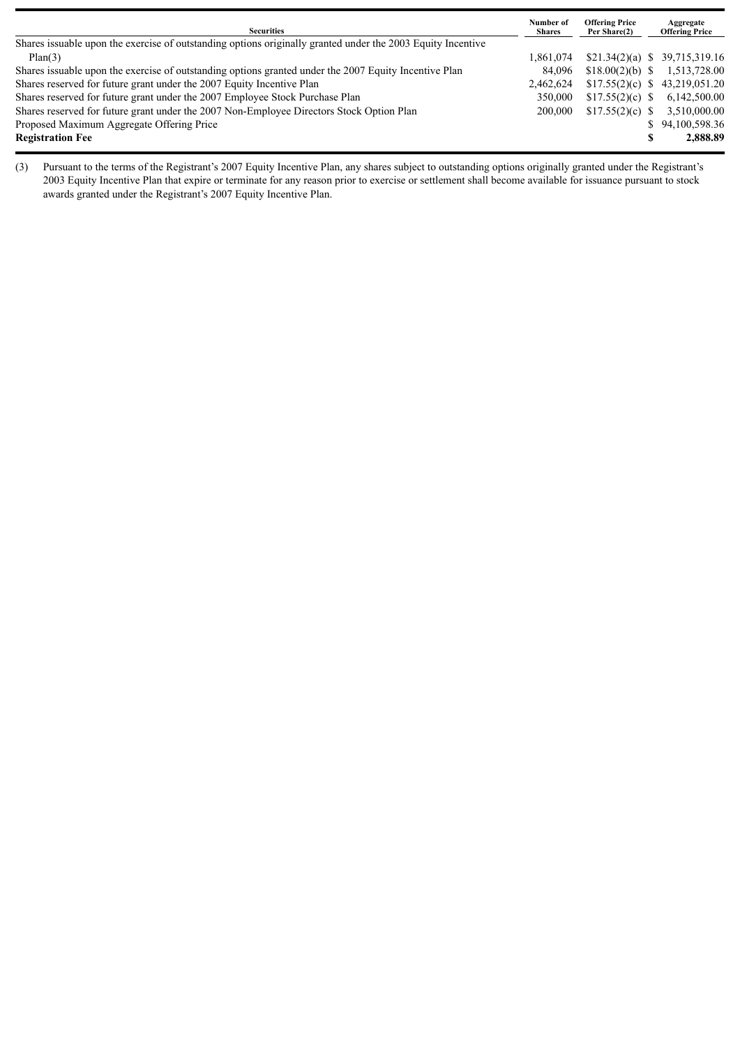| <b>Securities</b>                                                                                           | Number of<br><b>Shares</b> | <b>Offering Price</b><br>Per Share(2) | Aggregate<br><b>Offering Price</b> |
|-------------------------------------------------------------------------------------------------------------|----------------------------|---------------------------------------|------------------------------------|
| Shares issuable upon the exercise of outstanding options originally granted under the 2003 Equity Incentive |                            |                                       |                                    |
| Plan(3)                                                                                                     | 1,861,074                  |                                       | \$21.34(2)(a) \$39,715,319.16      |
| Shares is suable upon the exercise of outstanding options granted under the 2007 Equity Incentive Plan      | 84.096                     | $$18.00(2)(b)$ S                      | 1,513,728.00                       |
| Shares reserved for future grant under the 2007 Equity Incentive Plan                                       | 2,462,624                  |                                       | \$17.55(2)(c) \$43,219,051.20      |
| Shares reserved for future grant under the 2007 Employee Stock Purchase Plan                                | 350,000                    | \$17.55(2)(c) \$                      | 6,142,500.00                       |
| Shares reserved for future grant under the 2007 Non-Employee Directors Stock Option Plan                    | 200,000                    | $$17.55(2)(c)$ \$                     | 3,510,000.00                       |
| Proposed Maximum Aggregate Offering Price                                                                   |                            |                                       | \$94,100,598.36                    |
| <b>Registration Fee</b>                                                                                     |                            |                                       | 2,888.89                           |

(3) Pursuant to the terms of the Registrant's 2007 Equity Incentive Plan, any shares subject to outstanding options originally granted under the Registrant's 2003 Equity Incentive Plan that expire or terminate for any reason prior to exercise or settlement shall become available for issuance pursuant to stock awards granted under the Registrant's 2007 Equity Incentive Plan.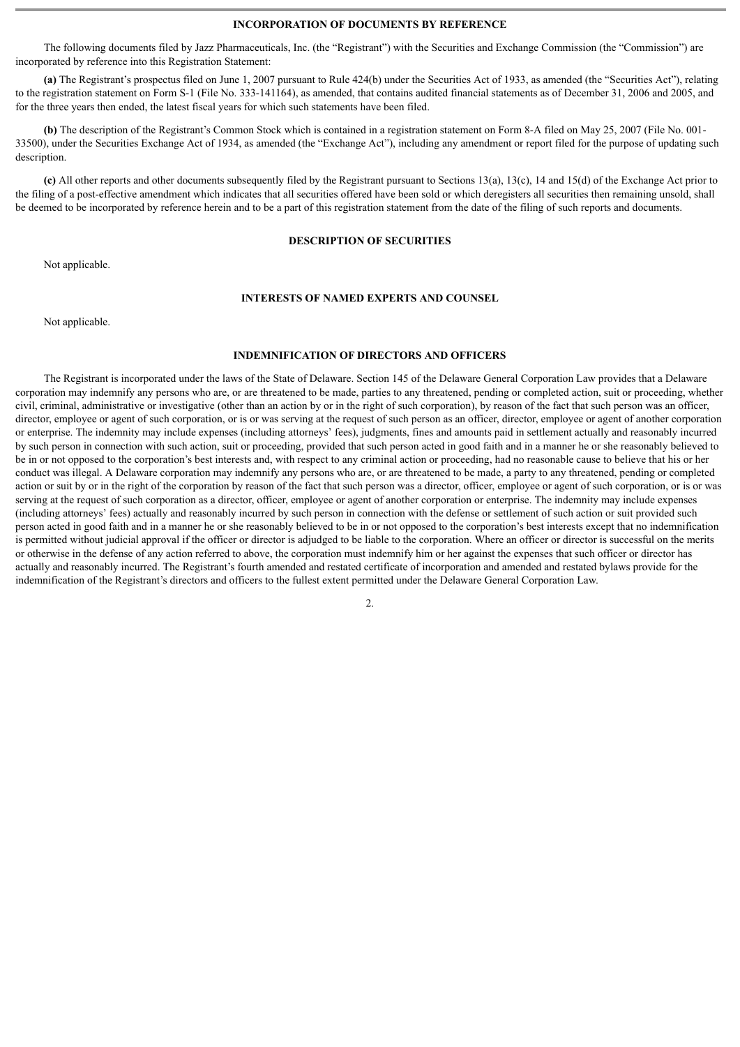#### **INCORPORATION OF DOCUMENTS BY REFERENCE**

The following documents filed by Jazz Pharmaceuticals, Inc. (the "Registrant") with the Securities and Exchange Commission (the "Commission") are incorporated by reference into this Registration Statement:

**(a)** The Registrant's prospectus filed on June 1, 2007 pursuant to Rule 424(b) under the Securities Act of 1933, as amended (the "Securities Act"), relating to the registration statement on Form S-1 (File No. 333-141164), as amended, that contains audited financial statements as of December 31, 2006 and 2005, and for the three years then ended, the latest fiscal years for which such statements have been filed.

**(b)** The description of the Registrant's Common Stock which is contained in a registration statement on Form 8-A filed on May 25, 2007 (File No. 001- 33500), under the Securities Exchange Act of 1934, as amended (the "Exchange Act"), including any amendment or report filed for the purpose of updating such description.

**(c)** All other reports and other documents subsequently filed by the Registrant pursuant to Sections 13(a), 13(c), 14 and 15(d) of the Exchange Act prior to the filing of a post-effective amendment which indicates that all securities offered have been sold or which deregisters all securities then remaining unsold, shall be deemed to be incorporated by reference herein and to be a part of this registration statement from the date of the filing of such reports and documents.

#### **DESCRIPTION OF SECURITIES**

Not applicable.

### **INTERESTS OF NAMED EXPERTS AND COUNSEL**

Not applicable.

#### **INDEMNIFICATION OF DIRECTORS AND OFFICERS**

The Registrant is incorporated under the laws of the State of Delaware. Section 145 of the Delaware General Corporation Law provides that a Delaware corporation may indemnify any persons who are, or are threatened to be made, parties to any threatened, pending or completed action, suit or proceeding, whether civil, criminal, administrative or investigative (other than an action by or in the right of such corporation), by reason of the fact that such person was an officer, director, employee or agent of such corporation, or is or was serving at the request of such person as an officer, director, employee or agent of another corporation or enterprise. The indemnity may include expenses (including attorneys' fees), judgments, fines and amounts paid in settlement actually and reasonably incurred by such person in connection with such action, suit or proceeding, provided that such person acted in good faith and in a manner he or she reasonably believed to be in or not opposed to the corporation's best interests and, with respect to any criminal action or proceeding, had no reasonable cause to believe that his or her conduct was illegal. A Delaware corporation may indemnify any persons who are, or are threatened to be made, a party to any threatened, pending or completed action or suit by or in the right of the corporation by reason of the fact that such person was a director, officer, employee or agent of such corporation, or is or was serving at the request of such corporation as a director, officer, employee or agent of another corporation or enterprise. The indemnity may include expenses (including attorneys' fees) actually and reasonably incurred by such person in connection with the defense or settlement of such action or suit provided such person acted in good faith and in a manner he or she reasonably believed to be in or not opposed to the corporation's best interests except that no indemnification is permitted without judicial approval if the officer or director is adjudged to be liable to the corporation. Where an officer or director is successful on the merits or otherwise in the defense of any action referred to above, the corporation must indemnify him or her against the expenses that such officer or director has actually and reasonably incurred. The Registrant's fourth amended and restated certificate of incorporation and amended and restated bylaws provide for the indemnification of the Registrant's directors and officers to the fullest extent permitted under the Delaware General Corporation Law.

2.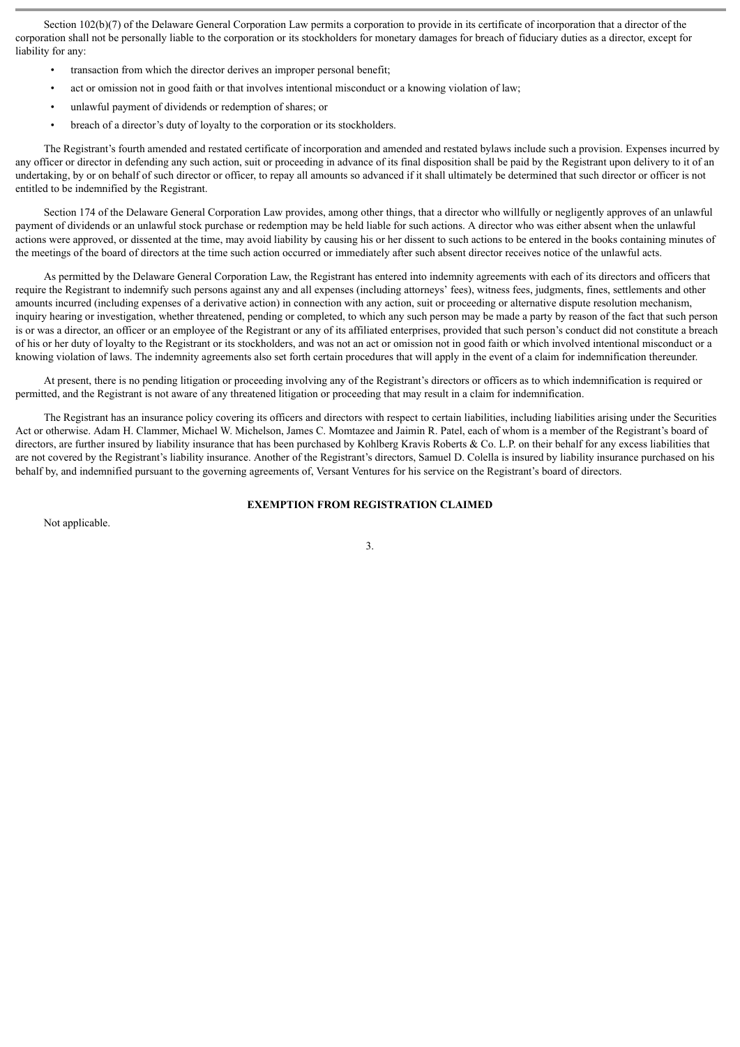Section 102(b)(7) of the Delaware General Corporation Law permits a corporation to provide in its certificate of incorporation that a director of the corporation shall not be personally liable to the corporation or its stockholders for monetary damages for breach of fiduciary duties as a director, except for liability for any:

- transaction from which the director derives an improper personal benefit;
- act or omission not in good faith or that involves intentional misconduct or a knowing violation of law;
- unlawful payment of dividends or redemption of shares; or
- breach of a director's duty of loyalty to the corporation or its stockholders.

The Registrant's fourth amended and restated certificate of incorporation and amended and restated bylaws include such a provision. Expenses incurred by any officer or director in defending any such action, suit or proceeding in advance of its final disposition shall be paid by the Registrant upon delivery to it of an undertaking, by or on behalf of such director or officer, to repay all amounts so advanced if it shall ultimately be determined that such director or officer is not entitled to be indemnified by the Registrant.

Section 174 of the Delaware General Corporation Law provides, among other things, that a director who willfully or negligently approves of an unlawful payment of dividends or an unlawful stock purchase or redemption may be held liable for such actions. A director who was either absent when the unlawful actions were approved, or dissented at the time, may avoid liability by causing his or her dissent to such actions to be entered in the books containing minutes of the meetings of the board of directors at the time such action occurred or immediately after such absent director receives notice of the unlawful acts.

As permitted by the Delaware General Corporation Law, the Registrant has entered into indemnity agreements with each of its directors and officers that require the Registrant to indemnify such persons against any and all expenses (including attorneys' fees), witness fees, judgments, fines, settlements and other amounts incurred (including expenses of a derivative action) in connection with any action, suit or proceeding or alternative dispute resolution mechanism, inquiry hearing or investigation, whether threatened, pending or completed, to which any such person may be made a party by reason of the fact that such person is or was a director, an officer or an employee of the Registrant or any of its affiliated enterprises, provided that such person's conduct did not constitute a breach of his or her duty of loyalty to the Registrant or its stockholders, and was not an act or omission not in good faith or which involved intentional misconduct or a knowing violation of laws. The indemnity agreements also set forth certain procedures that will apply in the event of a claim for indemnification thereunder.

At present, there is no pending litigation or proceeding involving any of the Registrant's directors or officers as to which indemnification is required or permitted, and the Registrant is not aware of any threatened litigation or proceeding that may result in a claim for indemnification.

The Registrant has an insurance policy covering its officers and directors with respect to certain liabilities, including liabilities arising under the Securities Act or otherwise. Adam H. Clammer, Michael W. Michelson, James C. Momtazee and Jaimin R. Patel, each of whom is a member of the Registrant's board of directors, are further insured by liability insurance that has been purchased by Kohlberg Kravis Roberts & Co. L.P. on their behalf for any excess liabilities that are not covered by the Registrant's liability insurance. Another of the Registrant's directors, Samuel D. Colella is insured by liability insurance purchased on his behalf by, and indemnified pursuant to the governing agreements of, Versant Ventures for his service on the Registrant's board of directors.

## **EXEMPTION FROM REGISTRATION CLAIMED**

Not applicable.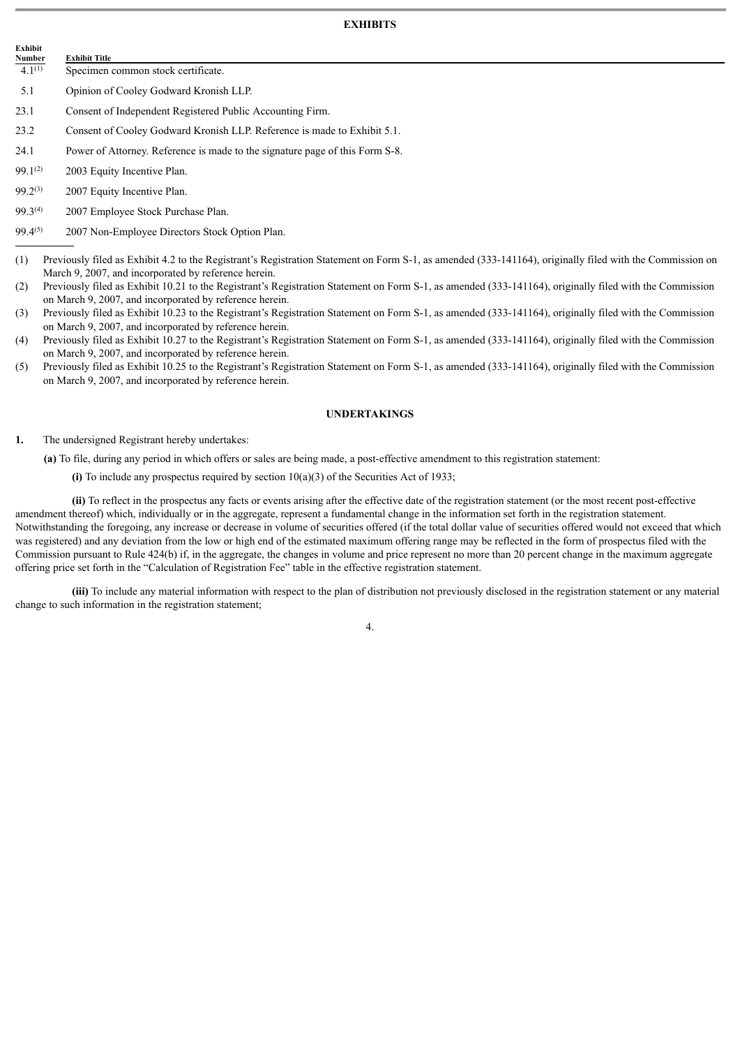## **EXHIBITS**

- 5.1 Opinion of Cooley Godward Kronish LLP.
- 23.1 Consent of Independent Registered Public Accounting Firm.
- 23.2 Consent of Cooley Godward Kronish LLP. Reference is made to Exhibit 5.1.
- 24.1 Power of Attorney. Reference is made to the signature page of this Form S-8.
- 99.1(2) 2003 Equity Incentive Plan.

**Exhibit Title** 

**Exhibit**

- 99.2(3) 2007 Equity Incentive Plan.
- 99.3(4) 2007 Employee Stock Purchase Plan.
- 99.4(5) 2007 Non-Employee Directors Stock Option Plan.
- (1) Previously filed as Exhibit 4.2 to the Registrant's Registration Statement on Form S-1, as amended (333-141164), originally filed with the Commission on March 9, 2007, and incorporated by reference herein.
- (2) Previously filed as Exhibit 10.21 to the Registrant's Registration Statement on Form S-1, as amended (333-141164), originally filed with the Commission on March 9, 2007, and incorporated by reference herein.
- (3) Previously filed as Exhibit 10.23 to the Registrant's Registration Statement on Form S-1, as amended (333-141164), originally filed with the Commission on March 9, 2007, and incorporated by reference herein.
- (4) Previously filed as Exhibit 10.27 to the Registrant's Registration Statement on Form S-1, as amended (333-141164), originally filed with the Commission on March 9, 2007, and incorporated by reference herein.
- (5) Previously filed as Exhibit 10.25 to the Registrant's Registration Statement on Form S-1, as amended (333-141164), originally filed with the Commission on March 9, 2007, and incorporated by reference herein.

#### **UNDERTAKINGS**

**1.** The undersigned Registrant hereby undertakes:

**(a)** To file, during any period in which offers or sales are being made, a post-effective amendment to this registration statement:

**(i)** To include any prospectus required by section 10(a)(3) of the Securities Act of 1933;

**(ii)** To reflect in the prospectus any facts or events arising after the effective date of the registration statement (or the most recent post-effective amendment thereof) which, individually or in the aggregate, represent a fundamental change in the information set forth in the registration statement. Notwithstanding the foregoing, any increase or decrease in volume of securities offered (if the total dollar value of securities offered would not exceed that which was registered) and any deviation from the low or high end of the estimated maximum offering range may be reflected in the form of prospectus filed with the Commission pursuant to Rule 424(b) if, in the aggregate, the changes in volume and price represent no more than 20 percent change in the maximum aggregate offering price set forth in the "Calculation of Registration Fee" table in the effective registration statement.

**(iii)** To include any material information with respect to the plan of distribution not previously disclosed in the registration statement or any material change to such information in the registration statement;

4.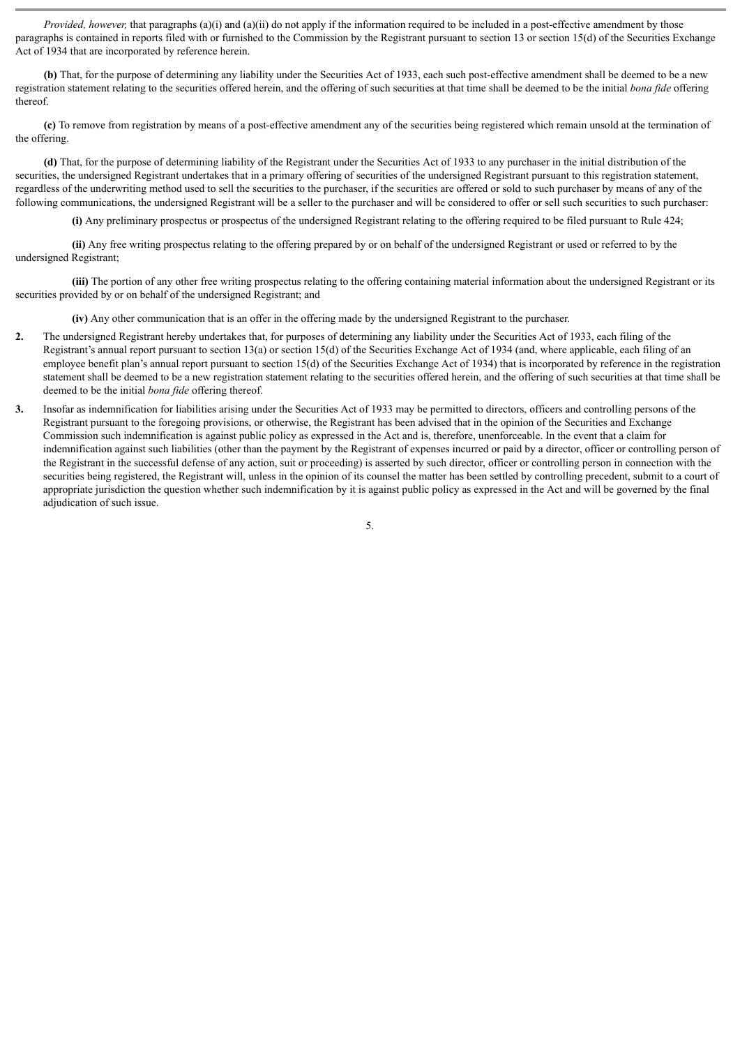*Provided, however,* that paragraphs (a)(i) and (a)(ii) do not apply if the information required to be included in a post-effective amendment by those paragraphs is contained in reports filed with or furnished to the Commission by the Registrant pursuant to section 13 or section 15(d) of the Securities Exchange Act of 1934 that are incorporated by reference herein.

**(b)** That, for the purpose of determining any liability under the Securities Act of 1933, each such post-effective amendment shall be deemed to be a new registration statement relating to the securities offered herein, and the offering of such securities at that time shall be deemed to be the initial *bona fide* offering thereof.

**(c)** To remove from registration by means of a post-effective amendment any of the securities being registered which remain unsold at the termination of the offering.

**(d)** That, for the purpose of determining liability of the Registrant under the Securities Act of 1933 to any purchaser in the initial distribution of the securities, the undersigned Registrant undertakes that in a primary offering of securities of the undersigned Registrant pursuant to this registration statement, regardless of the underwriting method used to sell the securities to the purchaser, if the securities are offered or sold to such purchaser by means of any of the following communications, the undersigned Registrant will be a seller to the purchaser and will be considered to offer or sell such securities to such purchaser:

**(i)** Any preliminary prospectus or prospectus of the undersigned Registrant relating to the offering required to be filed pursuant to Rule 424;

**(ii)** Any free writing prospectus relating to the offering prepared by or on behalf of the undersigned Registrant or used or referred to by the undersigned Registrant;

**(iii)** The portion of any other free writing prospectus relating to the offering containing material information about the undersigned Registrant or its securities provided by or on behalf of the undersigned Registrant; and

**(iv)** Any other communication that is an offer in the offering made by the undersigned Registrant to the purchaser.

- **2.** The undersigned Registrant hereby undertakes that, for purposes of determining any liability under the Securities Act of 1933, each filing of the Registrant's annual report pursuant to section 13(a) or section 15(d) of the Securities Exchange Act of 1934 (and, where applicable, each filing of an employee benefit plan's annual report pursuant to section 15(d) of the Securities Exchange Act of 1934) that is incorporated by reference in the registration statement shall be deemed to be a new registration statement relating to the securities offered herein, and the offering of such securities at that time shall be deemed to be the initial *bona fide* offering thereof.
- **3.** Insofar as indemnification for liabilities arising under the Securities Act of 1933 may be permitted to directors, officers and controlling persons of the Registrant pursuant to the foregoing provisions, or otherwise, the Registrant has been advised that in the opinion of the Securities and Exchange Commission such indemnification is against public policy as expressed in the Act and is, therefore, unenforceable. In the event that a claim for indemnification against such liabilities (other than the payment by the Registrant of expenses incurred or paid by a director, officer or controlling person of the Registrant in the successful defense of any action, suit or proceeding) is asserted by such director, officer or controlling person in connection with the securities being registered, the Registrant will, unless in the opinion of its counsel the matter has been settled by controlling precedent, submit to a court of appropriate jurisdiction the question whether such indemnification by it is against public policy as expressed in the Act and will be governed by the final adjudication of such issue.

5.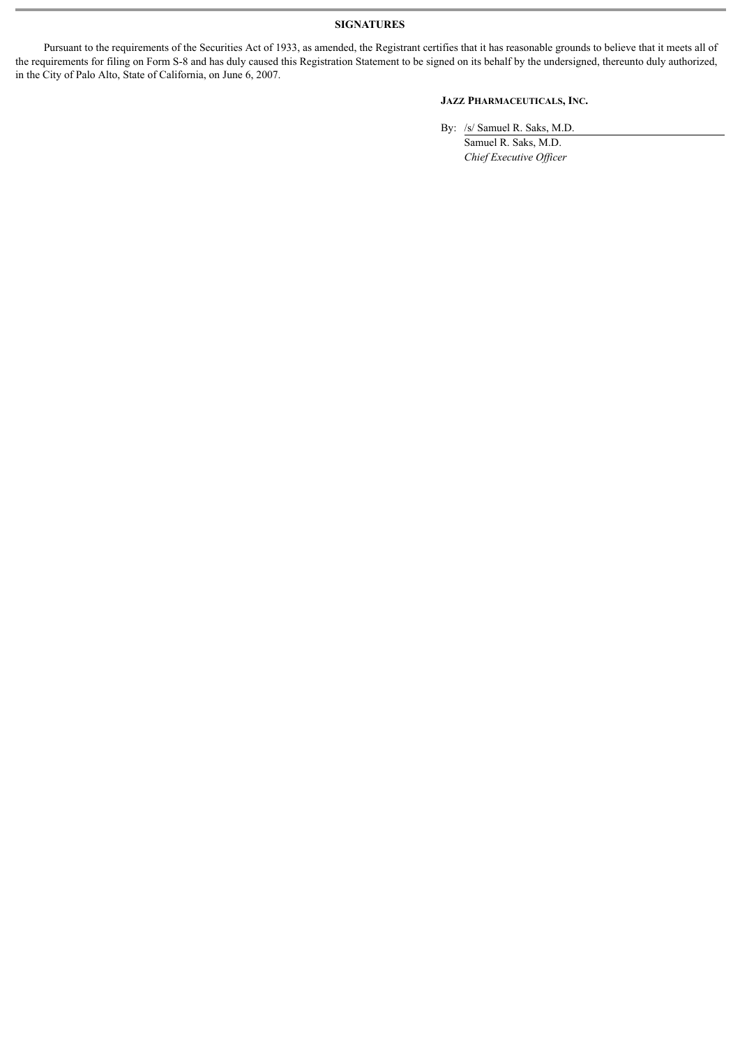## **SIGNATURES**

Pursuant to the requirements of the Securities Act of 1933, as amended, the Registrant certifies that it has reasonable grounds to believe that it meets all of the requirements for filing on Form S-8 and has duly caused this Registration Statement to be signed on its behalf by the undersigned, thereunto duly authorized, in the City of Palo Alto, State of California, on June 6, 2007.

### **JAZZ PHARMACEUTICALS, INC.**

By: /s/ Samuel R. Saks, M.D. Samuel R. Saks, M.D. *Chief Executive Officer*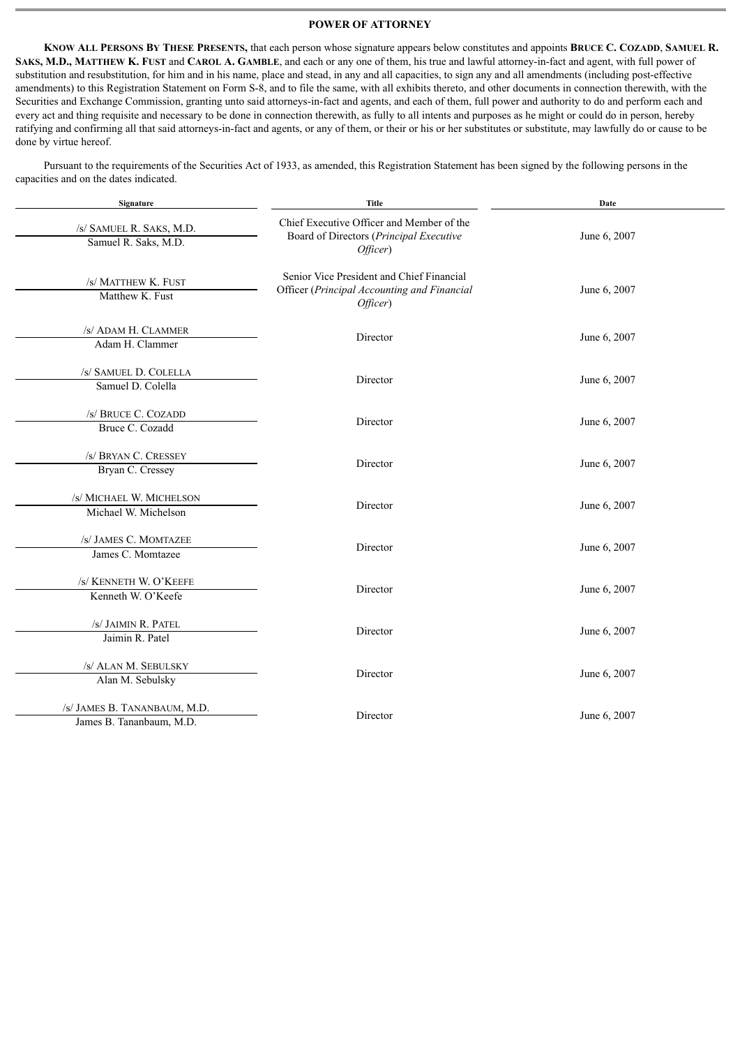#### **POWER OF ATTORNEY**

KNOW ALL PERSONS BY THESE PRESENTS, that each person whose signature appears below constitutes and appoints BRUCE C. COZADD, SAMUEL R. **SAKS, M.D., MATTHEW K. FUST** and **CAROL A. GAMBLE**, and each or any one of them, his true and lawful attorney-in-fact and agent, with full power of substitution and resubstitution, for him and in his name, place and stead, in any and all capacities, to sign any and all amendments (including post-effective amendments) to this Registration Statement on Form S-8, and to file the same, with all exhibits thereto, and other documents in connection therewith, with the Securities and Exchange Commission, granting unto said attorneys-in-fact and agents, and each of them, full power and authority to do and perform each and every act and thing requisite and necessary to be done in connection therewith, as fully to all intents and purposes as he might or could do in person, hereby ratifying and confirming all that said attorneys-in-fact and agents, or any of them, or their or his or her substitutes or substitute, may lawfully do or cause to be done by virtue hereof.

Pursuant to the requirements of the Securities Act of 1933, as amended, this Registration Statement has been signed by the following persons in the capacities and on the dates indicated.

| Signature                                                | <b>Title</b>                                                                                         | Date         |
|----------------------------------------------------------|------------------------------------------------------------------------------------------------------|--------------|
| /s/ SAMUEL R. SAKS, M.D.<br>Samuel R. Saks, M.D.         | Chief Executive Officer and Member of the<br>Board of Directors (Principal Executive<br>Officer)     | June 6, 2007 |
| /s/ MATTHEW K. FUST<br>Matthew K. Fust                   | Senior Vice President and Chief Financial<br>Officer (Principal Accounting and Financial<br>Officer) | June 6, 2007 |
| /s/ ADAM H. CLAMMER<br>Adam H. Clammer                   | Director                                                                                             | June 6, 2007 |
| /s/ SAMUEL D. COLELLA<br>Samuel D. Colella               | Director                                                                                             | June 6, 2007 |
| /s/ BRUCE C. COZADD<br>Bruce C. Cozadd                   | Director                                                                                             | June 6, 2007 |
| /s/ BRYAN C. CRESSEY<br>Bryan C. Cressey                 | Director                                                                                             | June 6, 2007 |
| /s/ MICHAEL W. MICHELSON<br>Michael W. Michelson         | Director                                                                                             | June 6, 2007 |
| /s/ JAMES C. MOMTAZEE<br>James C. Momtazee               | Director                                                                                             | June 6, 2007 |
| /s/ KENNETH W. O'KEEFE<br>Kenneth W. O'Keefe             | Director                                                                                             | June 6, 2007 |
| /s/ JAIMIN R. PATEL<br>Jaimin R. Patel                   | Director                                                                                             | June 6, 2007 |
| /s/ ALAN M. SEBULSKY<br>Alan M. Sebulsky                 | Director                                                                                             | June 6, 2007 |
| /s/ JAMES B. TANANBAUM, M.D.<br>James B. Tananbaum, M.D. | Director                                                                                             | June 6, 2007 |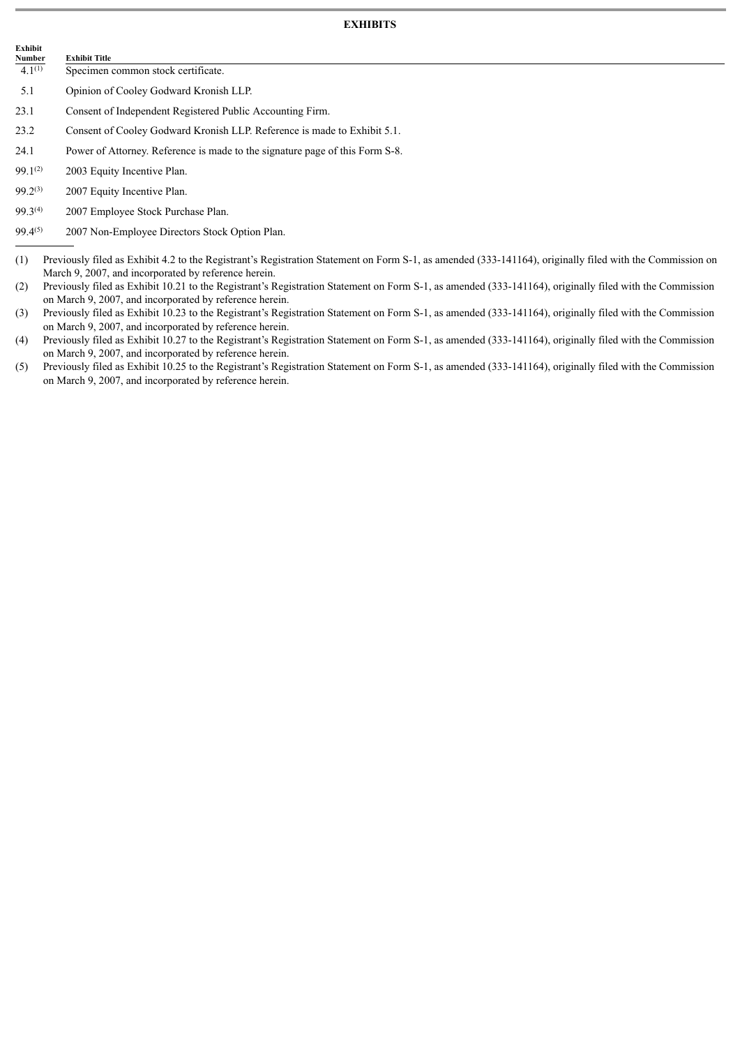## **EXHIBITS**

| $4.1^{(1)}$ | Specimen common stock certificate. |
|-------------|------------------------------------|
|             |                                    |

- 5.1 Opinion of Cooley Godward Kronish LLP.
- 23.1 Consent of Independent Registered Public Accounting Firm.
- 23.2 Consent of Cooley Godward Kronish LLP. Reference is made to Exhibit 5.1.
- 24.1 Power of Attorney. Reference is made to the signature page of this Form S-8.
- 99.1 $(2)$  2003 Equity Incentive Plan.

**Exhibit Title** 

**Exhibit**

- 99.2 $(3)$  2007 Equity Incentive Plan.
- 99.3<sup>(4)</sup> 2007 Employee Stock Purchase Plan.
- 99.4<sup>(5)</sup> 2007 Non-Employee Directors Stock Option Plan.
- (1) Previously filed as Exhibit 4.2 to the Registrant's Registration Statement on Form S-1, as amended (333-141164), originally filed with the Commission on March 9, 2007, and incorporated by reference herein.
- (2) Previously filed as Exhibit 10.21 to the Registrant's Registration Statement on Form S-1, as amended (333-141164), originally filed with the Commission on March 9, 2007, and incorporated by reference herein.
- (3) Previously filed as Exhibit 10.23 to the Registrant's Registration Statement on Form S-1, as amended (333-141164), originally filed with the Commission on March 9, 2007, and incorporated by reference herein.
- (4) Previously filed as Exhibit 10.27 to the Registrant's Registration Statement on Form S-1, as amended (333-141164), originally filed with the Commission on March 9, 2007, and incorporated by reference herein.
- (5) Previously filed as Exhibit 10.25 to the Registrant's Registration Statement on Form S-1, as amended (333-141164), originally filed with the Commission on March 9, 2007, and incorporated by reference herein.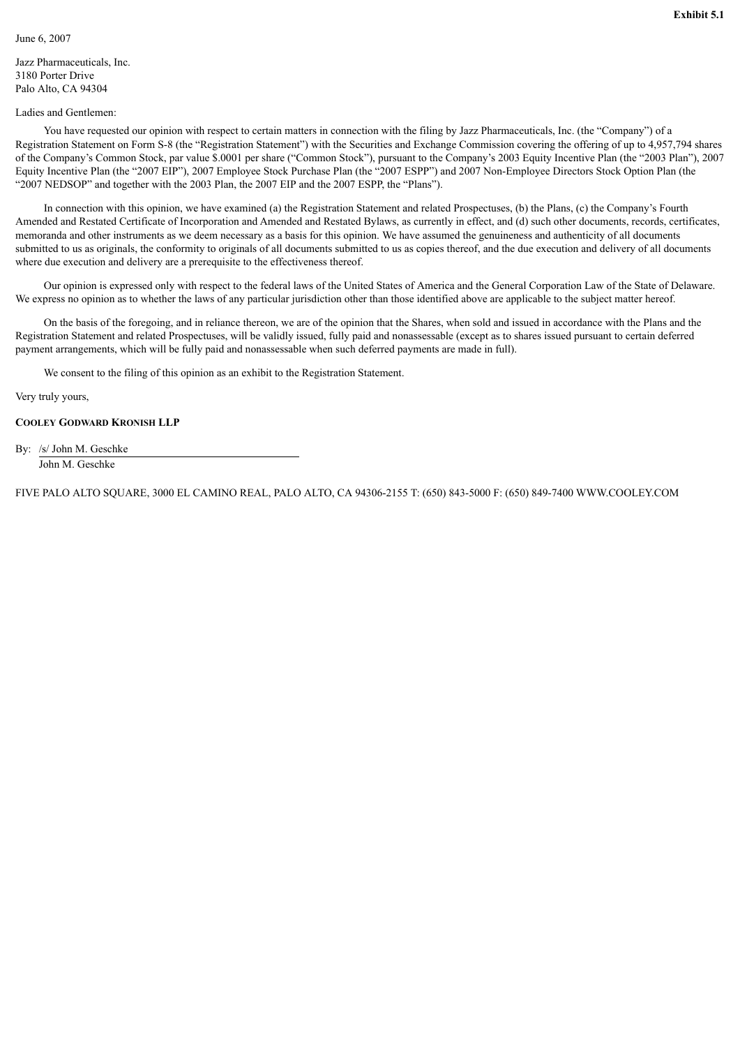Jazz Pharmaceuticals, Inc. 3180 Porter Drive Palo Alto, CA 94304

#### Ladies and Gentlemen:

You have requested our opinion with respect to certain matters in connection with the filing by Jazz Pharmaceuticals, Inc. (the "Company") of a Registration Statement on Form S-8 (the "Registration Statement") with the Securities and Exchange Commission covering the offering of up to 4,957,794 shares of the Company's Common Stock, par value \$.0001 per share ("Common Stock"), pursuant to the Company's 2003 Equity Incentive Plan (the "2003 Plan"), 2007 Equity Incentive Plan (the "2007 EIP"), 2007 Employee Stock Purchase Plan (the "2007 ESPP") and 2007 Non-Employee Directors Stock Option Plan (the "2007 NEDSOP" and together with the 2003 Plan, the 2007 EIP and the 2007 ESPP, the "Plans").

In connection with this opinion, we have examined (a) the Registration Statement and related Prospectuses, (b) the Plans, (c) the Company's Fourth Amended and Restated Certificate of Incorporation and Amended and Restated Bylaws, as currently in effect, and (d) such other documents, records, certificates, memoranda and other instruments as we deem necessary as a basis for this opinion. We have assumed the genuineness and authenticity of all documents submitted to us as originals, the conformity to originals of all documents submitted to us as copies thereof, and the due execution and delivery of all documents where due execution and delivery are a prerequisite to the effectiveness thereof.

Our opinion is expressed only with respect to the federal laws of the United States of America and the General Corporation Law of the State of Delaware. We express no opinion as to whether the laws of any particular jurisdiction other than those identified above are applicable to the subject matter hereof.

On the basis of the foregoing, and in reliance thereon, we are of the opinion that the Shares, when sold and issued in accordance with the Plans and the Registration Statement and related Prospectuses, will be validly issued, fully paid and nonassessable (except as to shares issued pursuant to certain deferred payment arrangements, which will be fully paid and nonassessable when such deferred payments are made in full).

We consent to the filing of this opinion as an exhibit to the Registration Statement.

Very truly yours,

### **COOLEY GODWARD KRONISH LLP**

By: /s/ John M. Geschke John M. Geschke

FIVE PALO ALTO SQUARE, 3000 EL CAMINO REAL, PALO ALTO, CA 94306-2155 T: (650) 843-5000 F: (650) 849-7400 WWW.COOLEY.COM